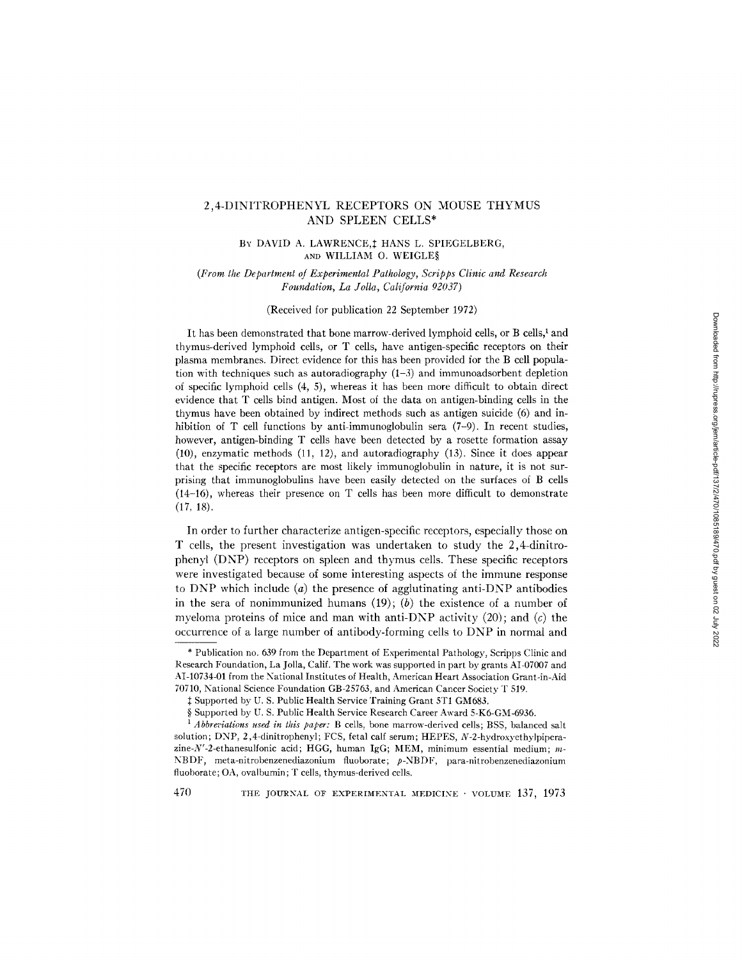# 2,4-DINITROPHENYL RECEPTORS ON MOUSE THYMUS AND SPLEEN CELLS\*

### BY DAVID A. LAWRENCE, HANS L. SPIEGELBERG, AND WILLIAM O. WEIGLES

# *(From the Department of Experimental Pathology, Scripps Clinic and Research Foundation, La Jolla, California 92037)*

#### (Received for publication 22 September 1972)

It has been demonstrated that bone marrow-derived lymphoid cells, or B cells, $<sup>1</sup>$  and</sup> thymus-derived lymphoid cells, or T cells, have antigen-specific receptors on their plasma membranes. Direct evidence for this has been provided for the B cell population with techniques such as autoradiography  $(1-3)$  and immunoadsorbent depletion of specific lymphoid cells (4, 5), whereas it has been more difficult to obtain direct evidence that T cells bind antigen. Most of the data on antigen-binding cells in the thymus have been obtained by indirect methods such as antigen suicide (6) and inhibition of T cell functions by anti-immunoglobulin sera (7-9). In recent studies, however, antigen-binding T cells have been detected by a rosette formation assay (10), enzymatic methods (11, 12), and autoradiography (13). Since it does appear that the specific receptors are most likely immunoglobulin in nature, it is not surprising that immunoglobulins have been easily detected on the surfaces of B cells (14-16), whereas their presence on T cells has been more difficult to demonstrate (17, 18).

In order to further characterize antigen-specific receptors, especially those on T cells, the present investigation was undertaken to study the 2,4-dinitrophenyl (DNP) receptors on spleen and thymus cells. These specific receptors were investigated because of some interesting aspects of the immune response to DNP which include  $(a)$  the presence of agglutinating anti-DNP antibodies in the sera of nonimmunized humans  $(19)$ ; (b) the existence of a number of myeloma proteins of mice and man with anti-DNP activity (20); and  $(c)$  the occurrence of a large number of antibody-forming cells to DNP in normal and

<sup>\*</sup> Publication no. 639 from the Department of Experimental Pathology, Scripps Clinic and Research Foundation, La Jolla, Calif. The work was supported in part by grants AI-07007 and AI-10734-01 from the National Institutes of Health, American Heart Association Grant-in-Aid 70710, National Science Foundation GB-25763, and American Cancer Society T 519.

 $\ddagger$  Supported by U. S. Public Health Service Training Grant 5T1 GM683.

<sup>§</sup> Supported by U. S. Public Health Service Research Career Award 5-K6-GM-6936.

*l Abbreviations used in this paper:* B cells, bone marrow-derived cells; BSS, balanced salt solution; DNP, 2,4-dinitrophenyl; FCS, fetal calf serum; HEPES, N-2-hydroxyethylpiperazine-N'-2-ethanesulfonic acid; HGG, human IgG; MEM, minimum essential medium;  $m$ -NBDF, meta-nitrobenzenediazonium fluoborate; p-NBDF, para-nitrobenzenediazonium fluoborate; OA, ovalbumin; T cells, thymus-derived cells.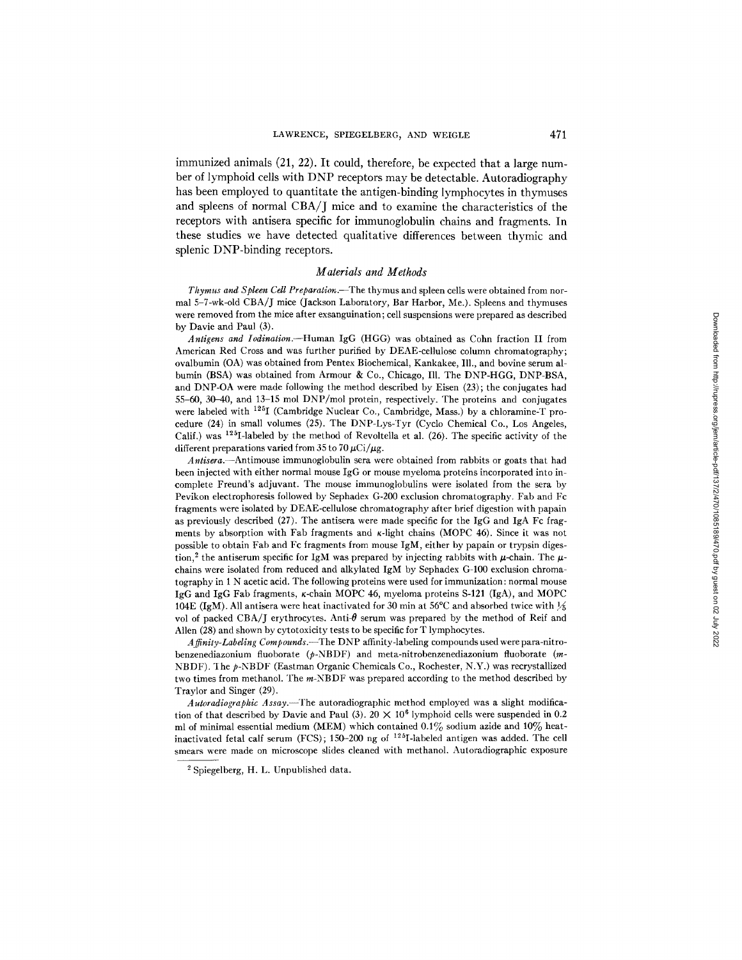immunized animals (21, 22). It could, therefore, be expected that a large number of lymphoid cells with DNP receptors may be detectable. Autoradiography has been employed to quantitate the antigen-binding lymphocytes in thymuses and spleens of normal CBA/J mice and to examine the characteristics of the receptors with antisera specific for immunoglobulin chains and fragments. In these studies we have detected qualitative differences between thymic and splenic DNP-binding receptors.

#### *Materials and Methods*

*Thymus and Spleen Cell Preparation.--The* thymus and spleen cells were obtained from normal 5-7-wk-old CBA/J mice (Jackson Laboratory, Bar Harbor, Me.). Spleens and thymuses were removed from the mice after exsanguination; cell suspensions were prepared as described by Davie and Paul (3).

*Antigens and Iodination.--Human* IgG (HGG) was obtained as Cohn fraction II from American Red Cross and was further purified by DEAE-cellulose column chromatography; ovalbumin (OA) was obtained from Pentex Biochemical, Kankakee, Ill., and bovine serum albumin (BSA) was obtained from Armour & Co., Chicago, Ill. The DNP-HGG, DNP-BSA, and DNP-OA were made following the method described by Eisen (23) ; the conjugates had  $55-60$ ,  $30-40$ , and  $13-15$  mol DNP/mol protein, respectively. The proteins and conjugates were labeled with 125I (Cambridge Nuclear Co., Cambridge, Mass.) by a chloramine-T procedure (24) in small volumes (25). The DNP-Lys-Tyr (Cyclo Chemical Co., Los Angeles, Calif.) was  $125I$ -labeled by the method of Revoltella et al. (26). The specific activity of the different preparations varied from 35 to 70  $\mu$ Ci/ $\mu$ g.

*Antisera.--Antimouse* immunoglobulin sera were obtained from rabbits or goats that had been injected with either normal mouse IgG or mouse myeloma proteins incorporated into incomplete Freund's adjuvant. The mouse immunoglobulins were isolated from the sera by Pevikon electrophoresis followed by Sephadex G-200 exclusion chromatography. Fab and Fc fragments were isolated by DEAE-cellulose chromatography after brief digestion with papain as previously described (27). The antisera were made specific for the IgG and IgA Fc fragments by absorption with Fab fragments and  $\kappa$ -light chains (MOPC 46). Since it was not possible to obtain Fab and Fc fragments from mouse IgM, either by papain or trypsin digestion,<sup>2</sup> the antiserum specific for IgM was prepared by injecting rabbits with  $\mu$ -chain. The  $\mu$ chains were isolated from reduced and alkylated IgM by Sephadex G-100 exclusion chromatography in 1 N acetic acid. The following proteins were used for immunization: normal mouse IgG and IgG Fab fragments,  $\kappa$ -chain MOPC 46, myeloma proteins S-121 (IgA), and MOPC 104E (IgM). All antisera were heat inactivated for 30 min at 56°C and absorbed twice with  $\frac{1}{2}$ vol of packed CBA/J erythrocytes. Anti- $\theta$  serum was prepared by the method of Reif and Allen (28) and shown by cytotoxicity tests to be specific for T lymphocytes.

*A finity-Labeling Compounds.--The* DNP affinity-labeling compounds used were para-nitrobenzenediazonium fluoborate (p-NBDF) and meta-nitrobenzenediazonium fluoborate (m-NBDF). The p-NBDF (Eastman Organic Chemicals Co., Rochester, N.Y.) was recrystallized two times from methanol. The m-NBDF was prepared according to the method described by Traylor and Singer (29).

*Autoradiographic Assay.--The* autoradiographic method employed was a slight modification of that described by Davie and Paul (3). 20  $\times$  10<sup>6</sup> lymphoid cells were suspended in 0.2 ml of minimal essential medium (MEM) which contained  $0.1\%$  sodium azide and  $10\%$  heatinactivated fetal calf serum (FCS); 150-200 ng of 125I-labeled antigen was added. The cell smears were made on microscope slides cleaned with methanol. Autoradiographic exposure

<sup>2</sup> Spiegelberg, H. L. Unpublished data.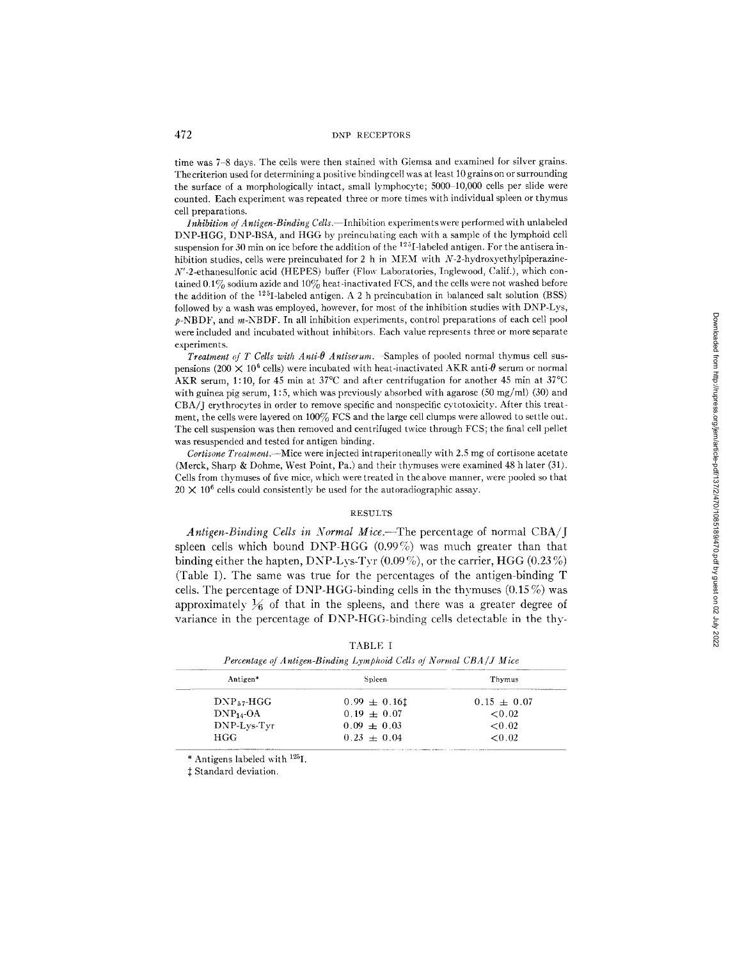time was 7-8 days. The cells were then stained with Giemsa and examined for silver grains. Thecriterion used for determining a positive bindingcell was at least 10 grains on or surrounding the surface of a morphologically intact, small lymphocyte; 5000-10,000 cells per slide were counted. Each experiment was repeated three or more times with individual spleen or thymus cell preparations.

*Inhibition of Antigen-Binding Cells.* Inhibition experiments were performed with unlabeled DNP-HGG, DNP-BSA, and HGG by preincubating each with a sample of the lymphoid cell suspension for 30 min on ice before the addition of the  $125I$ -labeled antigen. For the antisera inhibition studies, cells were preincubated for 2 h in MEM with N-2-hydroxyethylpiperazine-N'-2-ethanesulfonic acid (HEPES) buffer (Flow Laboratories, Inglewood, Calif.), which contained  $0.1\%$  sodium azide and  $10\%$  heat-inactivated FCS, and the cells were not washed before the addition of the  $125I$ -labeled antigen. A 2 h preincubation in balanced salt solution (BSS) followed by a wash was employed, however, for most of the inhibition studies with DNP-Lys,  $p$ -NBDF, and  $m$ -NBDF. In all inhibition experiments, control preparations of each cell pool were included and incubated without inhibitors. Each value represents three or more separate experiments.

*Treatment of T Cells with Anti-* $\theta$  *Antiserum.* -Samples of pooled normal thymus cell suspensions (200  $\times$  10<sup>6</sup> cells) were incubated with heat-inactivated AKR anti- $\theta$  serum or normal AKR serum, 1:10, for 45 min at 37 $^{\circ}$ C and after centrifugation for another 45 min at 37 $^{\circ}$ C with guinea pig serum, 1:5, which was previously absorbed with agarose (50 mg/ml) (30) and CBA/J erythrocytes in order to remove specific and nonspecific cytotoxicity. After this treatment, the cells were layered on 100% FCS and the large cell clumps were allowed to settle out. The cell suspension was then removed and centrifuged twice through FCS; the final cell pellet was resuspended and tested for antigen binding.

*Cortisone Treatment.--Mice* were injected intraperitoneally with 2.5 mg of cortisone acetate (Merck, Sharp & Dohme, West Point, Pa.) and their thymuses were examined 48 h later (31). Cells from thymuses of five mice, which were treated in the above manner, were pooled so that  $20 \times 10^6$  cells could consistently be used for the autoradiographic assay.

#### RESULTS

*Antigen-Binding Cells in Normal Mice.--The* percentage of normal CBA/J spleen cells which bound DNP-HGG (0.99%) was much greater than that binding either the hapten, DNP-Lys-Tyr  $(0.09\%)$ , or the carrier, HGG  $(0.23\%)$ (Table I). The same was true for the percentages of the antigen-binding T cells. The percentage of DNP-HGG-binding cells in the thymuses  $(0.15\%)$  was approximately  $\frac{1}{6}$  of that in the spleens, and there was a greater degree of variance in the percentage of DNP-HGG-binding cells detectable in the thv-

| Antigen*        | Spleen           | Thymus          |
|-----------------|------------------|-----------------|
| $DNP_{57}$ -HGG | $0.99 \pm 0.161$ | $0.15 \pm 0.07$ |
| $DNP_{14}$ -OA  | $0.19 + 0.07$    | < 0.02          |
| DNP-Lys-Tyr     | $0.09 + 0.03$    | ${<}0.02$       |
| HGG             | $0.23 \pm 0.04$  | < 0.02          |

| 'ABL | г. |  |
|------|----|--|
|      |    |  |

\* Antigens labeled with  $^{125}I$ .

 $‡$  Standard deviation.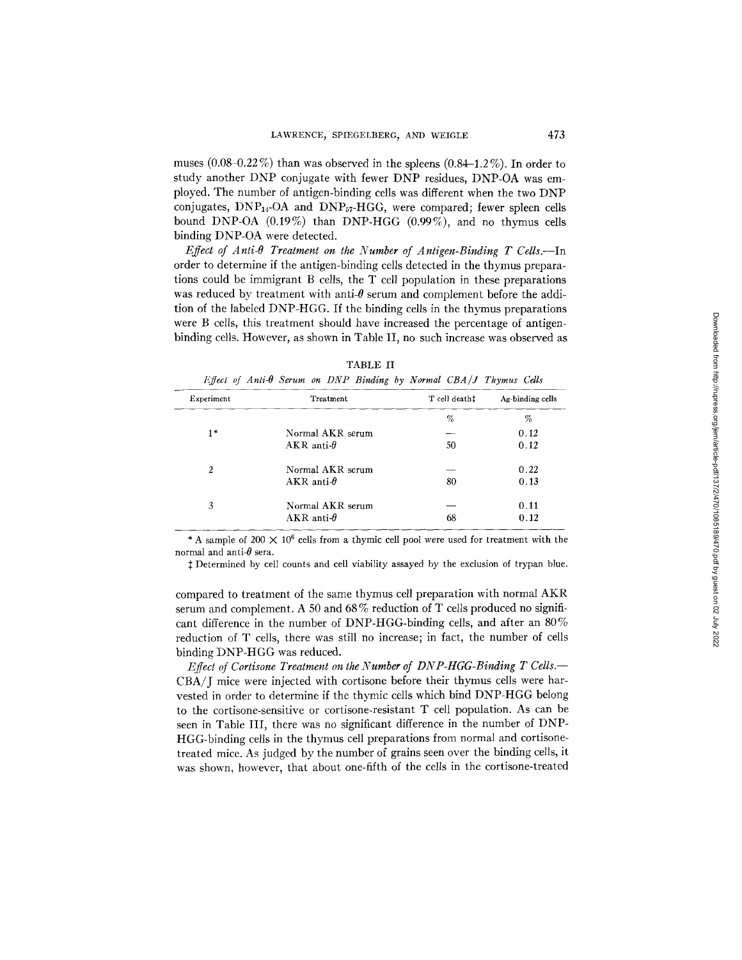muses  $(0.08-0.22\%)$  than was observed in the spleens  $(0.84-1.2\%)$ . In order to study another DNP conjugate with fewer DNP residues, DNP-OA was employed. The number of antigen-binding cells was different when the two DNP conjugates, DNP14-OA and DNP57-HGG, were compared; fewer spleen cells bound DNP-OA (0.19%) than DNP-HGG (0.99%), and no thymus cells binding DNP-OA were detected.

*Effect of Anti-* $\theta$  *Treatment on the Number of Antigen-Binding T Cells.*--In order to determine if the antigen-binding cells detected in the thymus preparations could be immigrant B cells, the T cell population in these preparations was reduced by treatment with anti- $\theta$  serum and complement before the addition of the labeled DNP-HGG. If the binding cells in the thymus preparations were B cells, this treatment should have increased the percentage of antigenbinding cells. However, as shown in Table II, no such increase was observed as

|                | Effect of Anti- $\theta$ Serum on DNP Binding by Normal CBA/J Thymus Cells |               |                  |
|----------------|----------------------------------------------------------------------------|---------------|------------------|
| Experiment     | Treatment                                                                  | T cell death! | Ag-binding cells |
|                |                                                                            | %             | %                |
| $1*$           | Normal AKR serum                                                           |               | 0.12             |
|                | AKR anti- $\theta$                                                         | 50            | 0.12             |
| $\overline{2}$ | Normal AKR serum                                                           |               | 0.22             |
|                | $AKR$ anti- $\theta$                                                       | 80            | 0.13             |
| 3              | Normal AKR serum                                                           |               | 0.11             |
|                | AKR anti- $\theta$                                                         | 68            | 0.12             |

| TABLE |  |
|-------|--|
|       |  |

\* A sample of 200  $\times$  10<sup>6</sup> cells from a thymic cell pool were used for treatment with the normal and anti- $\theta$  sera.

 $\ddagger$  Determined by cell counts and cell viability assayed by the exclusion of trypan blue.

compared to treatment of the same thymus cell preparation with normal AKR serum and complement. A 50 and  $68\%$  reduction of T cells produced no significant difference in the number of DNP-HGG-binding cells, and after an  $80\%$ reduction of T cells, there was still no increase; in fact, the number of cells binding DNP-HGG was reduced.

*EffecI of Cortisone Treatment on the Number of DNP-HGG-Binding T Cells.--*  CBA/J mice were injected with cortisone before their thymus ceils were harvested in order to determine if the thymic cells which bind DNP-HGG belong to the cortisone-sensitive or cortisone-resistant T cell population. As can be seen in Table III, there was no significant difference in the number of DNP-HGG-binding cells in the thymus cell preparations from normal and cortisonetreated mice. As judged by the number of grains seen over the binding cells, it was shown, however, that about one-fifth of the cells in the cortisone-treated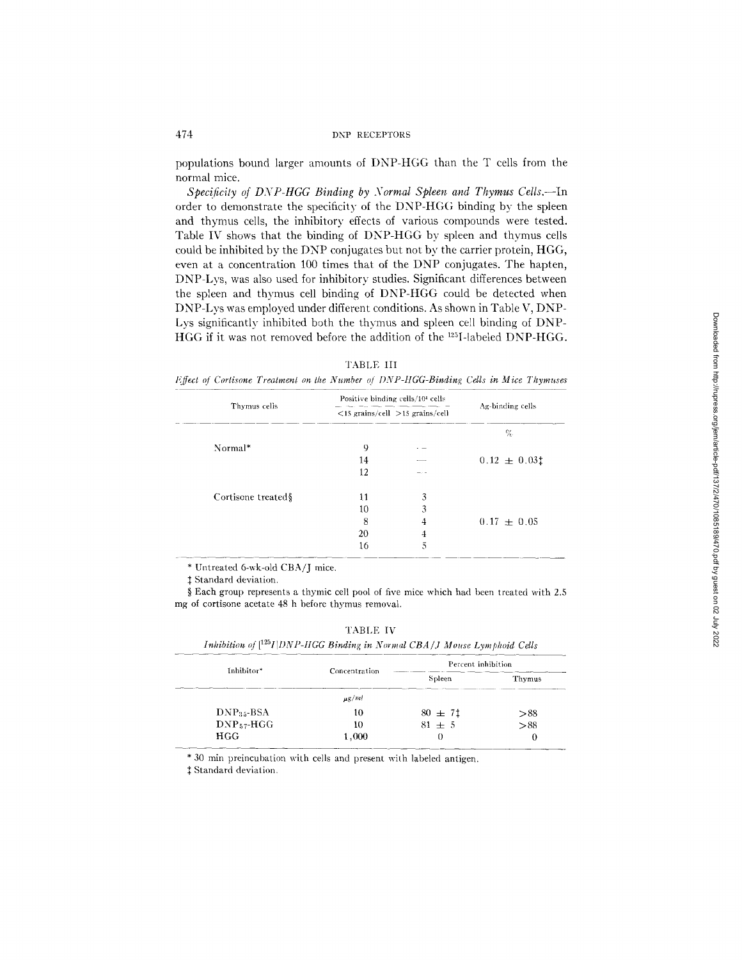populations bound larger amounts of DNP-HGG than the T cells from the normal mice.

*Specificity of DNP-HGG Binding by Normal Spleen and Thymus Cells.*--In order to demonstrate the specificity of the DNP-HGG binding by the spleen and thymus cells, the inhibitory effects of various compounds were tested. Table IV shows that the binding of DNP-HGG by spleen and thymus cells could be inhibited by the DNP conjugates but not by the carrier protein, HGG, even at a concentration 100 times that of the DNP conjugates. The hapten, DNP-Lys, was also used for inhibitory studies. Significant differences between the spleen and thymus cell binding of DNP-HGG could be detected when DNP-Lys was employed under different conditions. As shown in Table V, DNP-Lys significantly inhibited both the thymus and spleen cell binding of DNP-HGG if it was not removed before the addition of the  $^{125}I$ -labeled DNP-HGG.

|  |  | ARL. | я.<br>. Г |  |
|--|--|------|-----------|--|
|--|--|------|-----------|--|

*Effect qf Cortisone Treatment on the Number ~/ DNP-HGG-Binding Cells in Mice Thymuses* 

|                    |    | Positive binding cells/104 cells      |                  |
|--------------------|----|---------------------------------------|------------------|
| Thymus cells       |    | $<$ 15 grains/cell $>$ 15 grains/cell | Ag-binding cells |
|                    |    |                                       | %                |
| Normal*            | 9  |                                       |                  |
|                    | 14 |                                       | $0.12 \pm 0.03$  |
|                    | 12 |                                       |                  |
| Cortisone treated§ | 11 | 3                                     |                  |
|                    | 10 | 3                                     |                  |
|                    | 8  | 4                                     | $0.17 \pm 0.05$  |
|                    | 20 | 4                                     |                  |
|                    | 16 | 5                                     |                  |

\* Untreated 6-wk-old CBA/J mice.

 $\mathbf{r}$ 

 $‡$  Standard deviation.

§ Each group represents a thymic cell pool of five mice which had been treated with 2.5 mg of cortisone acetate 48 h before thymus removal.

| TABLE T |
|---------|
|---------|

| Inhibition of $[^{125}I DNP-HGG$ Binding in Normal CBA/J Mouse Lymphoid Cells |  |  |
|-------------------------------------------------------------------------------|--|--|
|-------------------------------------------------------------------------------|--|--|

| Inhibitor*      | Concentration | Percent inhibition |        |
|-----------------|---------------|--------------------|--------|
|                 |               | Spleen             | Thymus |
|                 | $\mu$ g/ml    |                    |        |
| $DNP35-BSA$     | 10            | $80 \pm 71$        | > 88   |
| $DNP_{57}$ -HGG | 10            | $81 \pm 5$         | > 88   |
| HGG             | 1,000         |                    | 0      |

\* 30 min preincubation with cells and present with labeled antigen.

 $\ddagger$  Standard deviation.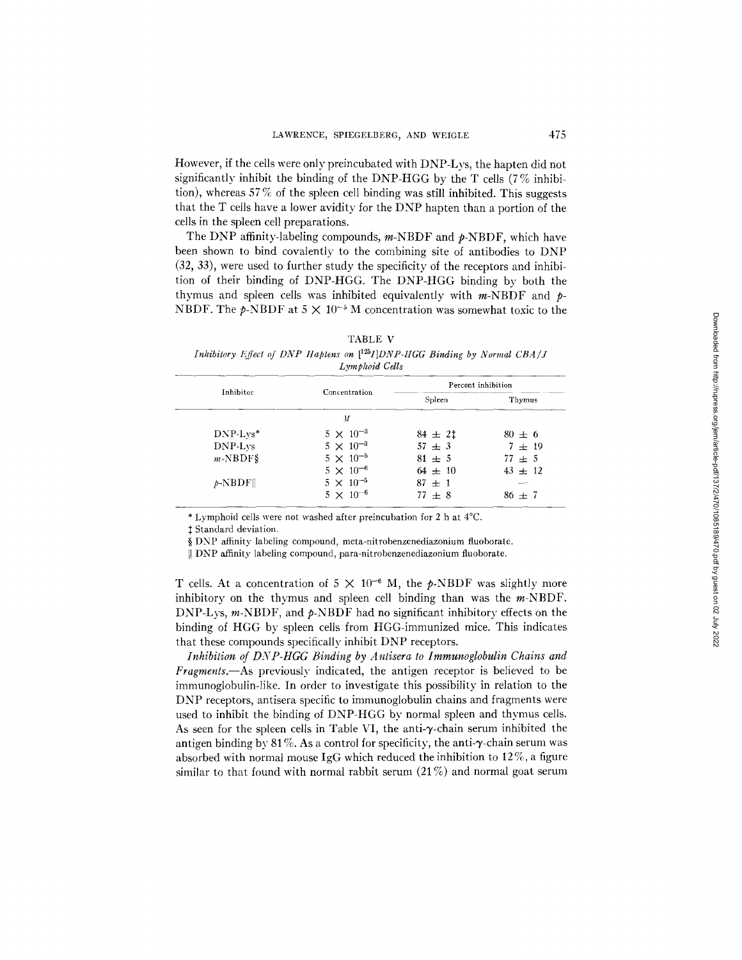However, if the cells were only preincubated with DNP-Lys, the hapten did not significantly inhibit the binding of the DNP-HGG by the T cells  $(7\%$  inhibition), whereas  $57\%$  of the spleen cell binding was still inhibited. This suggests that the T cells have a lower avidity for the DNP hapten than a portion of the cells in the spleen cell preparations.

The DNP affinity-labeling compounds,  $m$ -NBDF and  $p$ -NBDF, which have been shown to bind covalently to the combining site of antibodies to DNP (32, 33), were used to further study the specificity of the receptors and inhibition of their binding of DNP-HGG. The DNP-HGG binding by both the thymus and spleen cells was inhibited equivalently with  $m$ -NBDF and  $p$ -NBDF. The  $p$ -NBDF at  $5 \times 10^{-5}$  M concentration was somewhat toxic to the

| ABLE |  |
|------|--|
|------|--|

*Inhibitory l~ffect of DNP Haptens on [125I]DNP-HGG Binding by Normal CBA/J Lymphoid Cells* 

| Inhibitor   | Concentration      | Percent inhibition |             |
|-------------|--------------------|--------------------|-------------|
|             |                    | Spleen             | Thymus      |
|             | $\overline{M}$     |                    |             |
| $DNP-Lvs^*$ | $5 \times 10^{-3}$ | $84 \pm 21$        | $80 \pm 6$  |
| DNP-Lys     | $5 \times 10^{-3}$ | $57 + 3$           | $7 \pm 19$  |
| $m-NBDF\$   | $5 \times 10^{-5}$ | $81 \pm 5$         | $77 + 5$    |
|             | $5 \times 10^{-6}$ | $64 \pm 10$        | $43 \pm 12$ |
| $p$ -NBDF   | $5 \times 10^{-5}$ | $87 \pm 1$         |             |
|             | $5 \times 10^{-6}$ | $77 \pm 8$         | $86 \pm 7$  |

\* Lymphoid cells were not washed after prelncubation for 2 h at 4°C.

{ Standard deviation.

§ DNP affinity labeling compound, meta-nitrobenzenediazonium fluoborate.

[I DNP affinity labeling compound, para-nitrobenzenediazonium fluoborate.

T cells. At a concentration of  $5 \times 10^{-6}$  M, the p-NBDF was slightly more inhibitory on the thymus and spleen cell binding than was the  $m$ -NBDF. DNP-Lys,  $m$ -NBDF, and  $p$ -NBDF had no significant inhibitory effects on the binding of HGG by spleen cells from HGG-immunized mice. This indicates that these compounds specifically inhibit DNP receptors.

*Inhibition of DNP-HGG Binding by Antisera to Immunoglobulin Chains and Fragments.--As* previously indicated, the antigen receptor is believed to be immunoglobulin-like. In order to investigate this possibility in relation to the DNP receptors, antisera specific to immunoglobulin chains and fragments were used to inhibit the binding of DNP-HGG by normal spleen and thymus cells. As seen for the spleen cells in Table VI, the anti- $\gamma$ -chain serum inhibited the antigen binding by 81%. As a control for specificity, the anti- $\gamma$ -chain serum was absorbed with normal mouse IgG which reduced the inhibition to  $12\%$ , a figure similar to that found with normal rabbit serum  $(21\%)$  and normal goat serum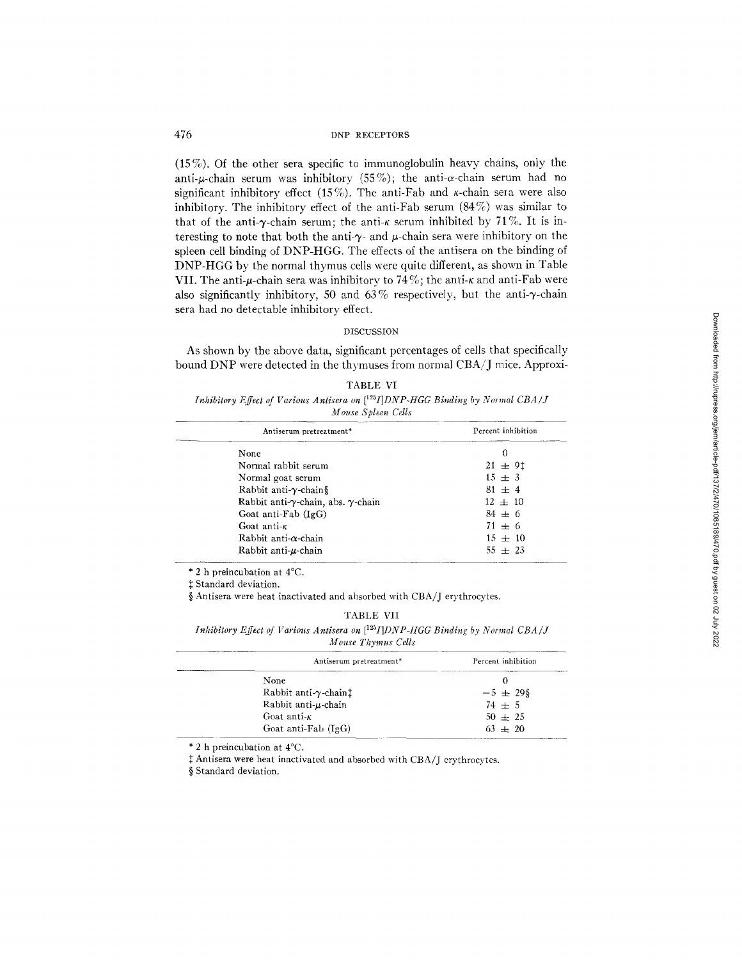(15%). Of the other sera specific to immunoglobulin heavy chains, only the anti- $\mu$ -chain serum was inhibitory (55%); the anti- $\alpha$ -chain serum had no significant inhibitory effect (15%). The anti-Fab and  $\kappa$ -chain sera were also inhibitory. The inhibitory effect of the anti-Fab serum (84%) was similar to that of the anti- $\gamma$ -chain serum; the anti- $\kappa$  serum inhibited by 71%. It is interesting to note that both the anti- $\gamma$ - and  $\mu$ -chain sera were inhibitory on the spleen cell binding of DNP-HGG. The effects of the antisera on the binding of DNP-HGG by the normal thymus cells were quite different, as shown in Table VII. The anti- $\mu$ -chain sera was inhibitory to 74%; the anti- $\kappa$  and anti-Fab were also significantly inhibitory, 50 and 63% respectively, but the anti- $\gamma$ -chain sera had no detectable inhibitory effect.

## DISCUSSION

As shown by the above data, significant percentages of cells that specifically bound DNP were detected in the thymuses from normal CBA/J mice. Approxi-

| TARLE VI                                                                               |  |
|----------------------------------------------------------------------------------------|--|
| Inhibitory Effect of Various Antisera on $[{}^{125}I]DNP$ -HGG Binding by Normal CBA/J |  |
| Mouse Spleen Cells                                                                     |  |

| Antiserum pretreatment*                            | Percent inhibition |
|----------------------------------------------------|--------------------|
| None                                               | 0                  |
| Normal rabbit serum                                | $21 \pm 91$        |
| Normal goat serum                                  | $15 \pm 3$         |
| Rabbit anti- $\gamma$ -chain§                      | $81 \pm 4$         |
| Rabbit anti- $\gamma$ -chain, abs. $\gamma$ -chain | $12 \pm 10$        |
| Goat anti-Fab $(IgG)$                              | $84 \pm 6$         |
| Goat anti- $\kappa$                                | $71 \pm 6$         |
| Rabbit anti- $\alpha$ -chain                       | $15 \pm 10$        |
| Rabbit anti-u-chain                                | $55 \pm 23$        |
|                                                    |                    |

\* 2 h preincubation at 4°C.

Standard deviation.

§ Antisera were heat inactivated and absorbed with CBA/J erythrocytes.

## TABLE VII

*Inhibitory Effect of Various Antisera on* [<sup>125</sup>*I]DNP-IIGG Binding by Normal CBA/J Mouse Thymus Cells* 

| Antiserum pretreatment*                 | Percent inhibition |
|-----------------------------------------|--------------------|
| None                                    |                    |
| Rabbit anti- $\gamma$ -chain $\ddagger$ | $-5 \pm 29\$       |
| Rabbit anti-u-chain                     | $74 \pm 5$         |
| Goat anti- $\kappa$                     | $50 \pm 25$        |
| Goat anti-Fab (IgG)                     | $63 + 20$          |

\* 2 h prelncubation at 4°C.

 $\ddagger$  Antisera were heat inactivated and absorbed with CBA/J erythrocytes.

§ Standard deviation.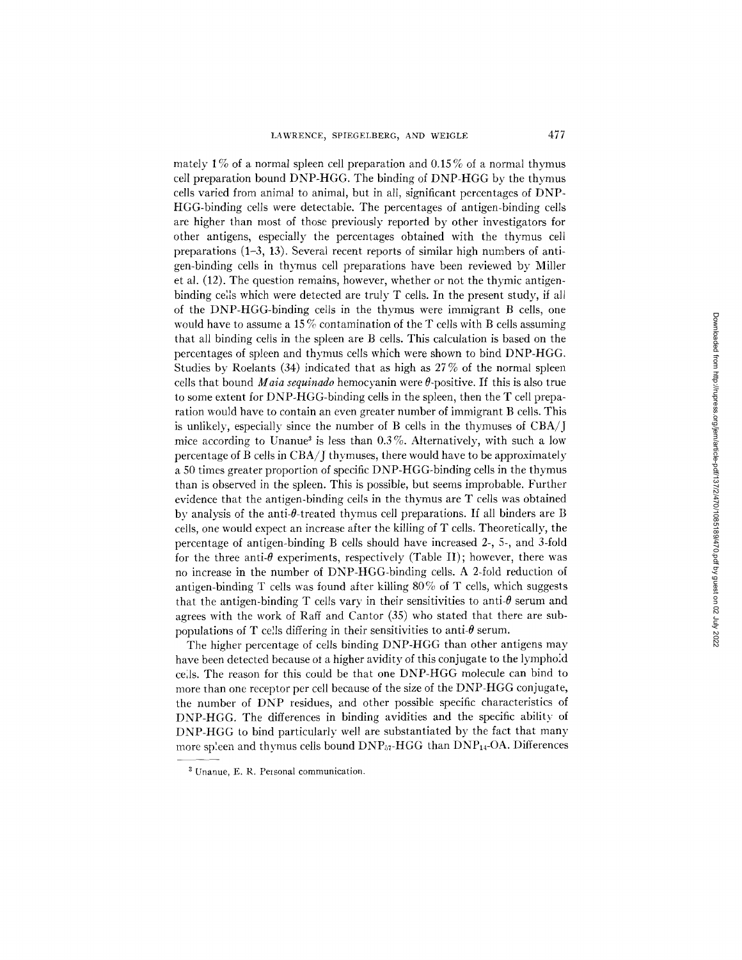mately 1% of a normal spleen cell preparation and 0.15% of a normal thymus ceil preparation bound DNP-HGG. The binding of DNP-HGG by the thymus cells varied from animal to animal, but in all, significant percentages of DNP-HGG-binding cells were detectable. The percentages of antigen-binding ceils are higher than most of those previously reported by other investigators for other antigens, especially the percentages obtained with the thymus cell preparations (1-3, 13). Several recent reports of similar high numbers of antigen-binding cells in thymus cell preparations have been reviewed by Miller et al. (12). The question remains, however, whether or not the thymic antigenbinding cells which were detected are truly T cells. In the present study, if all of the DNP-HGG-binding cells in the thymus were immigrant B cells, one would have to assume a 15% contamination of the  $T$  cells with B cells assuming that all binding cells in the spleen are B cells. This calculation is based on the percentages of spleen and thymus cells which were shown to bind DNP-HGG. Studies by Roelants  $(34)$  indicated that as high as  $27\%$  of the normal spleen cells that bound *Maia sequinado* hemocyanin were  $\theta$ -positive. If this is also true to some extent for DNP-HGG-binding cells in the spleen, then the T cell preparation would have to contain an even greater number of immigrant B cells. This is unlikely, especially since the number of B cells in the thymuses of CBA/J mice according to Unanue<sup>3</sup> is less than  $0.3\%$ . Alternatively, with such a low percentage of B cells in  $CBA/T$  thymuses, there would have to be approximately a 50 times greater proportion of specific DNP-HGG-binding cells in the thymus than is observed in the spleen. This is possible, but seems improbable. Further evidence that the antigen-binding cells in the thymus are T cells was obtained by analysis of the anti- $\theta$ -treated thymus cell preparations. If all binders are B cells, one would expect an increase after the killing of T cells. Theoretically, the percentage of antigen-binding B cells should have increased 2-, 5-, and 3-fold for the three anti- $\theta$  experiments, respectively (Table II); however, there was no increase in the number of DNP-HGG-binding cells. A 2-fold reduction of antigen-binding T cells was found after killing 80% of T cells, which suggests that the antigen-binding T cells vary in their sensitivities to anti- $\theta$  serum and agrees with the work of Raft and Cantor (35) who stated that there are subpopulations of T cells differing in their sensitivities to anti- $\theta$  serum.

The higher percentage of cells binding DNP-HGG than other antigens may have been detected because of a higher avidity of this conjugate to the lymphoid cells. The reason for this could be that one DNP-HGG molecule can bind to more than one receptor per cell because of the size of the DNP-HGG conjugate, the number of DNP residues, and other possible specific characteristics of DNP-HGG. The differences in binding avidities and the specific ability of DNP-HGG to bind particularly well are substantiated by the fact that many more spleen and thymus cells bound  $DNP_{a7}HGG$  than  $DNP_{14}OA$ . Differences

<sup>&</sup>lt;sup>3</sup> Unanue, E. R. Personal communication.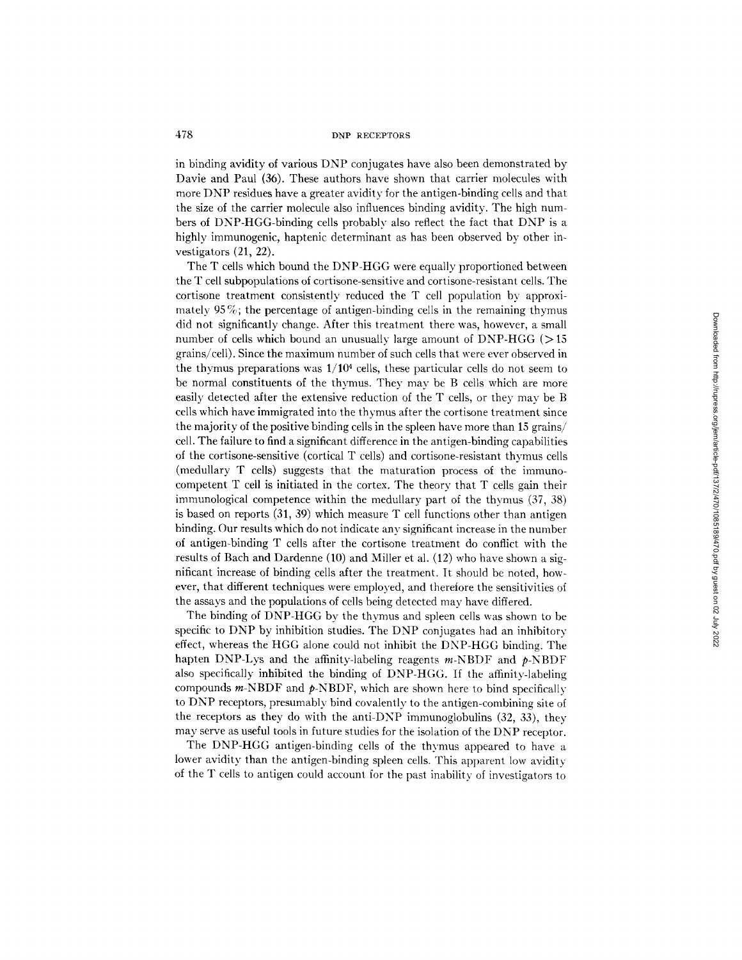in binding avidity of various DNP conjugates have also been demonstrated by Davie and Paul (36). These authors have shown that carrier molecules with more DNP residues have a greater avidity for the antigen-binding cells and that the size of the carrier molecule also influences binding avidity. The high numbers of DNP-HGG-binding cells probably also reflect the fact that DNP is a highly immunogenic, haptenic determinant as has been observed by other investigators (21, 22).

The T cells which bound the DNP-HGG were equally proportioned between the T cell subpopulations of cortisone-sensitive and cortisone-resistant cells. The cortisone treatment consistentlv reduced the T cell population by approximately 95 $\%$ ; the percentage of antigen-binding cells in the remaining thymus did not significantly change. After this treatment there was, however, a small number of cells which bound an unusually large amount of DNP-HGG ( $>15$ ) grains/cell). Since the maximum number of such cells that were ever observed in the thymus preparations was  $1/10^4$  cells, these particular cells do not seem to be normal constituents of the thymus. They may be B cells which are more easily detected after the extensive reduction of the T cells, or they may be B cells which have immigrated into the thymus after the cortisone treatment since the majority of the positive binding cells in the spleen have more than 15 grains/ cell. The failure to find a significant difference in the antigen-binding capabilities of the cortisone-sensitive (cortical T cells) and cortisone-resistant thymus cells (medullary T cells) suggests that the maturation process of the immunocompetent T cell is initiated in the cortex. The theory that T cells gain their immunological competence within the medullary part of the thymus (37, 38) is based on reports (31, 39) which measure T cell functions other than antigen binding. Our results which do not indicate any significant increase in the number of antigen-binding T cells after the cortisone treatment do conflict with the results of Bach and Dardenne (10) and Miller et al. (12) who have shown a significant increase of binding cells after the treatment. It should be noted, however, that different techniques were employed, and therefore the sensitivities of the assays and the populations of cells being detected may have differed.

The binding of DNP-HGG by the thymus and spleen cells was shown to be specific to DNP by inhibition studies. The DNP conjugates had an inhibitory effect, whereas the HGG alone could not inhibit the DNP-HGG binding. The hapten DNP-Lys and the affinity-labeling reagents  $m$ -NBDF and  $p$ -NBDF also specifically inhibited the binding of DNP-HGG. If the affinity-labeling compounds  $m$ -NBDF and  $p$ -NBDF, which are shown here to bind specifically to DNP receptors, presumably bind covalently to the antigen-combining site of the receptors as they do with the anti-DNP immunoglobulins (32, 33), they may serve as useful tools in future studies for the isolation of the DNP receptor.

The DNP-HGG antigen-binding cells of the thymus appeared to have a lower avidity than the antigen-binding spleen cells. This apparent low avidity of the T cells to antigen could account for the past inabilitv of investigators to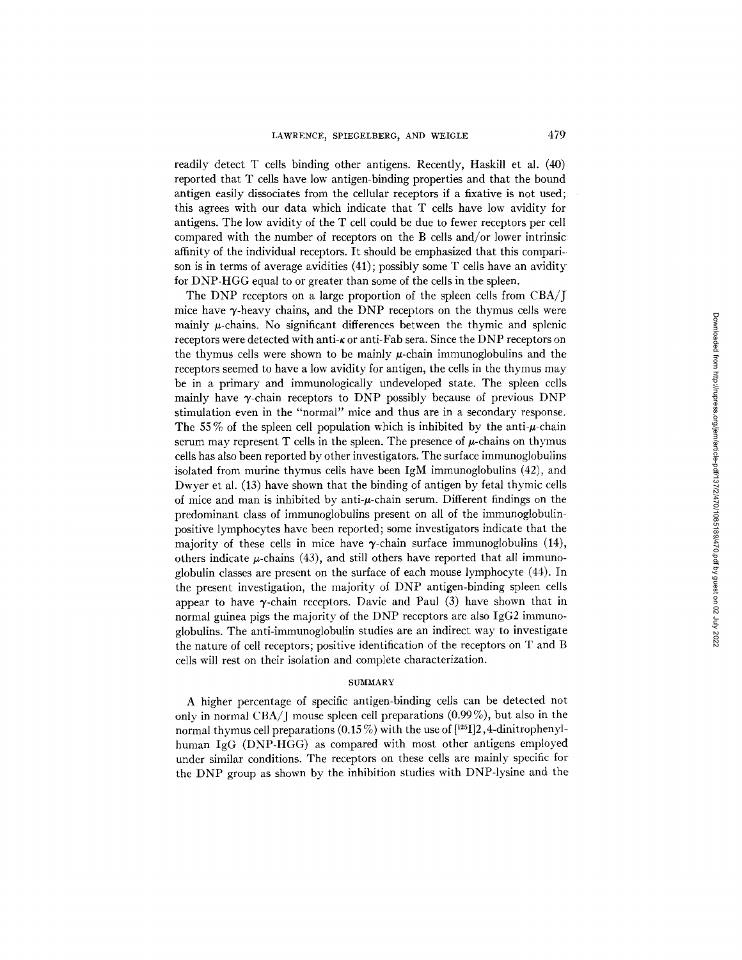readily detect T cells binding other antigens. Recently, Haskill et al. (40) reported that T cells have low antigen-binding properties and that the bound antigen easily dissociates from the cellular receptors if a fixative is not used; this agrees with our data which indicate that T cells have low avidity for antigens. The low avidity of the T cell could be due to fewer receptors per cell compared with the number of receptors on the B cells and/or lower intrinsic affinity of the individual receptors. It should be emphasized that this comparison is in terms of average avidities (41); possibly some T cells have an avidity for DNP-HGG equal to or greater than some of the cells in the spleen.

The DNP receptors on a large proportion of the spleen cells from CBA/J mice have  $\gamma$ -heavy chains, and the DNP receptors on the thymus cells were mainly  $\mu$ -chains. No significant differences between the thymic and splenic receptors were detected with anti- $\kappa$  or anti-Fab sera. Since the DNP receptors on the thymus cells were shown to be mainly  $\mu$ -chain immunoglobulins and the receptors seemed to have a low avidity for antigen, the cells in the thymus may be in a primary and immunologically undeveloped state. The spleen cells mainly have  $\gamma$ -chain receptors to DNP possibly because of previous DNP stimulation even in the "normal" mice and thus are in a secondary response. The 55% of the spleen cell population which is inhibited by the anti- $\mu$ -chain serum may represent T cells in the spleen. The presence of  $\mu$ -chains on thymus cells has also been reported by other investigators. The surface immunoglobulins isolated from murine thymus cells have been  $IgM$  immunoglobulins  $(42)$ , and Dwyer et al. (13) have shown that the binding of antigen by fetal thymic cells of mice and man is inhibited by anti- $\mu$ -chain serum. Different findings on the predominant class of immunoglobulins present on all of the immunoglobulinpositive lymphocytes have been reported; some investigators indicate that the majority of these cells in mice have  $\gamma$ -chain surface immunoglobulins (14), others indicate  $\mu$ -chains (43), and still others have reported that all immunoglobulin classes are present on the surface of each mouse lymphocyte (44). In the present investigation, the majority of DNP antigen-binding spleen cells appear to have  $\gamma$ -chain receptors. Davie and Paul (3) have shown that in normal guinea pigs the majority of the DNP receptors are also IgG2 immunoglobulins. The anti-immunoglobulin studies are an indirect way to investigate the nature of cell receptors; positive identification of the receptors on T and B cells will rest on their isolation and complete characterization.

#### SUMMARY

A higher percentage of specific antigen-binding cells can be detected not only in normal CBA/J mouse spleen cell preparations (0.99%), but also in the normal thymus cell preparations  $(0.15\%)$  with the use of  $[^{125}I]2,4$ -dinitrophenylhuman IgG (DNP-HGG) as compared with most other antigens employed under similar conditions. The receptors on these cells are mainly specific for the DNP group as shown by the inhibition studies with DNP-lysine and the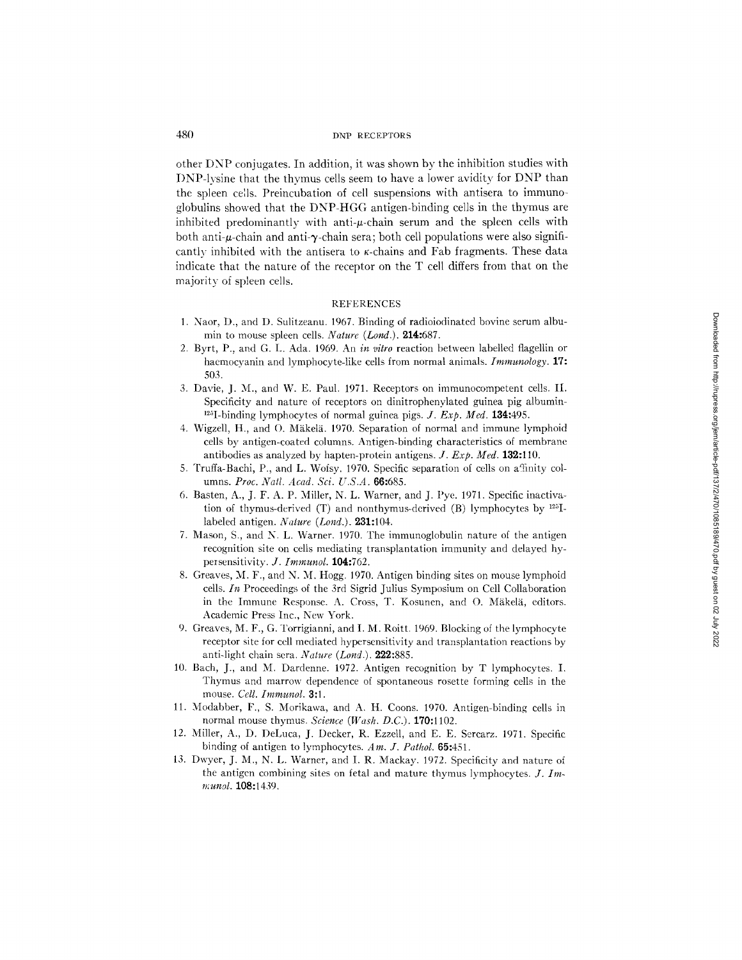other DNP conjugates. In addition, it was shown by the inhibition studies with I)NP-lvsine that the thymus cells seem to have a lower avidity for DNP than the spleen cells. Preincubation of cell suspensions with antisera to immunoglobulins showed that the DNP-HGG antigen-binding cells in the thymus are inhibited predominantly with anti- $\mu$ -chain serum and the spleen cells with both anti- $\mu$ -chain and anti- $\gamma$ -chain sera; both cell populations were also significantly inhibited with the antisera to  $\kappa$ -chains and Fab fragments. These data indicate that the nature of the receptor on the T cell differs from that on the majority of spleen cells.

# **REFERENCES**

- 1. Naor, D., and D. Sulitzeanu. 1967. Binding of radioiodinated bovine serum albumin to mouse spleen cells. *Nature (Lond.).* 214:687.
- 2. Byrt, P., and G. L. Ada. 1969. An *in vitro* reaction between labelled flageltin or haemocyanin and lymphocyte-like cells from normal animals. *Immunology.* 17: 503.
- 3. Davie, J. M., and W. E. Paul. 1971. Receptors on immunocompetent cells. II. Specificity and nature of receptors on dinitrophenylated guinea pig albumin- <sup>125</sup>I-binding lymphocytes of normal guinea pigs. *J. Exp. Med.* **134:**495.
- 4. Wigzell, H., and O. Mäkelä. 1970. Separation of normal and immune lymphoid cells by antigen-coated columns. Antigen-binding characteristics of membrane antibodies as analyzed by hapten-protein antigens. *J. Exp. Med.* 132:110.
- 5. Truffa-Bachi, P., and L. Wofsy. 1970. Specific separation of cells on affinity columns. *Proc. Natl. Acad. Sci. U.S.A.* 66:685.
- 6. Basten, A., J. F. A. P. Miller, N. L. Warner, and J. Pye. 1971. Specific inactivation of thymus-derived  $(T)$  and nonthymus-derived  $(B)$  lymphocytes by  $1^{23}I$ labeled antigen. *Nature (Lond.).* 231:104.
- 7. Mason, S., and N. L. Warner. 1970. The immunoglobulin nature of the antigen recognition site on cells mediating transplantation immunity and delayed hypersensitivity. *J. Immunol.* 104:762.
- 8. Greaves, M. F., and N. M. Hogg. 1970. Antigen binding sites on mouse lymphoid cells. In Proceedings of the 3rd Sigrid Julius Symposium on Cell Collaboration in the Immune Response. A. Cross, T. Kosunen, and O. Mäkelä, editors. Academic Press Inc., New York.
- 9. Greaves, M. F., G. Torrigianni, and I. M. Roitt. 1969. Blocking of the lymphocyte receptor site for cell mediated hypersensitivity and transplantation reactions by anti-light chain sera. *Nature (Lond.)*. 222:885.
- 10. Bach, J., and M. Dardenne. 1972. Antigen recognition by T lymphocytes. I. Thymus and marrow dependence of spontaneous rosette forming cells in the mouse. *Cell. Immunol.* 3:1.
- 11. Modabber, F., S. Morikawa, and A. H. Coons. 1970. Antigen-binding cells in normal mouse thymus. *Science (Wash. D.C.).* 170:1102.
- 12. Miller, A., D. DeLuca, J. Decker, R. Ezzell, and E. E. Sercarz. 1971. Specific binding of antigen to ]ymphocytes. *Am. J. Pathol.* 65:451.
- 13. Dwyer, J. M., N. L. Warner, and I. R. Mackay. 1972. Specificity and nature of the antigen combining sites on fetal and mature thymus lymphocytes. *J. Im- ~unol.* 108:1439.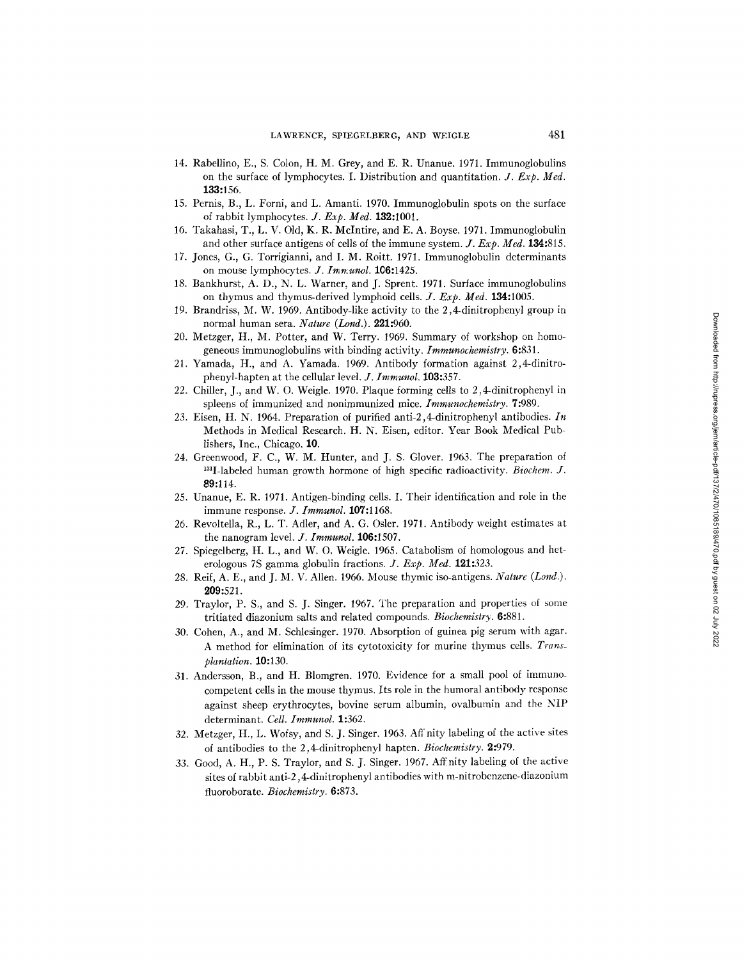- 14. Rabellino, E., S. Colon, H. M. Grey, and E. R. Unanue. 1971. Immunoglobulins on the surface of lymphocytes. I. Distribution and quantitation. *J. Exp. Med.*  133:156.
- 15. Pernis, B., L. Forni, and L. Amanti. 1970. Immunoglobulin spots on the surface of rabbit lymphocytes. *J. Exp. Med.* 132:1001.
- 16. Takahasi, T., L. V. Old, K. R. McIntire, and E. A. Boyse. 1971. Immunoglobulin and other surface antigens of cells of the immune system. *J. Exp. Med.* 134:815.
- 17. Jones, G., G. Torrigianni, and I. M. Roitt. 1971. Immunoglobulin determinants on mouse lymphocytes. *J. Imm.unol.* **106:**1425.
- 18. Bankhurst, A. D., N. L. Warner, and J. Sprent. 1971. Surface immunoglobulins on thymus and thymus-derived lymphoid cells. *Y. Exp. Med.* 134:1005.
- 19. Brandriss, M. W. 1969. Antibody-like activity to the 2,4-dinitrophenyl group in normal human sera. *Nature (Lond.).* 221:960.
- 20. Metzger, H., M. Potter, and W. Terry. 1969. Summary of workshop on homogeneous immunoglobulins with binding activity. *Immunochemistry.* 6:831.
- 2l. Yamada, H., and A. Yamada. 1969. Antibody formation against 2,4-dinitrophenyl-hapten at the cellular level. *J. Immunol.* 103:357.
- 22. Chiller, J., and W. O. Weigle. 1970. Plaque forming cells to 2,4-dinitrophenyl in spleens of immunized and nonimmunized mice. *Immunochemistry.* 7:989.
- 23. Eisen, H. N. 1964. Preparation of purified anti-2,4-dinitrophenyl antibodies. *In*  Methods in Medical Research. H. N. Eisen, editor. Year Book Medical Publishers, Inc., Chicago. 10.
- 24. Greenwood, F. C., W. M. Hunter, and J. S. Glover. 1963. The preparation of 131I-labeled human growth hormone of high specific radioactivity. *Biochem. J.*  89:114.
- 25. Unanue, E. R. 1971. Antigen-binding cells. I. Their identification and role in the immune response. *J. [mmunol.* 107:1168.
- 26. Revoltella, R., L. T. Adler, and A. G. Osler. 1971. Antibody weight estimates at the nanogram level. *J. Immunol.* 106:1507.
- 27. Spiegelberg, H. L., and W. O. Weigle. 1965. Catabolism of homologous and heterologous 7S gamma globulin fractions. *J. Exp. Med.* 121:323.
- 28. Reif, A. E., and J. M. V. Allen. 1966. Mouse thymic iso-antigens. *Nature (Lond.).*  209:521.
- 29. Traylor, P. S., and S. J. Singer. 1967. The preparation and properties of some tritiated diazonium salts and related compounds. *Biochemistry.* 6:881.
- 30. Cohen, A., and M. Schlesinger. 1970. Absorption of guinea pig serum with agar. A method for elimination of its cytotoxicity for murine thymus cells. Trans*plantation.* 10:130.
- 31. Andersson, B., and H. Blomgren. 1970. Evidence for a small pool of immuno\_ competent cells in the mouse thymus. Its role in the humoral antibody response against sheep erythrocytes, bovine serum albumin, ovalbumin and the NIP determinant. Cell. Immunol. 1:362.
- 32. Metzger, H., L. Wofsy, and S. J. Singer. 1963. Aff nity labeling of the active sites of antibodies to the 2,4-dinitrophenyl hapten. *Biochemistry.* 2:979.
- 33. Good, A. H., P. S. Traylor, and S. J. Singer. 1967. Affnity labeling of the active sites of rabbit anti-2,4-dinitrophenyl antibodies with m-nitrobenzene-diazonium fluoroborate. *Biochemistry.* 6:873.